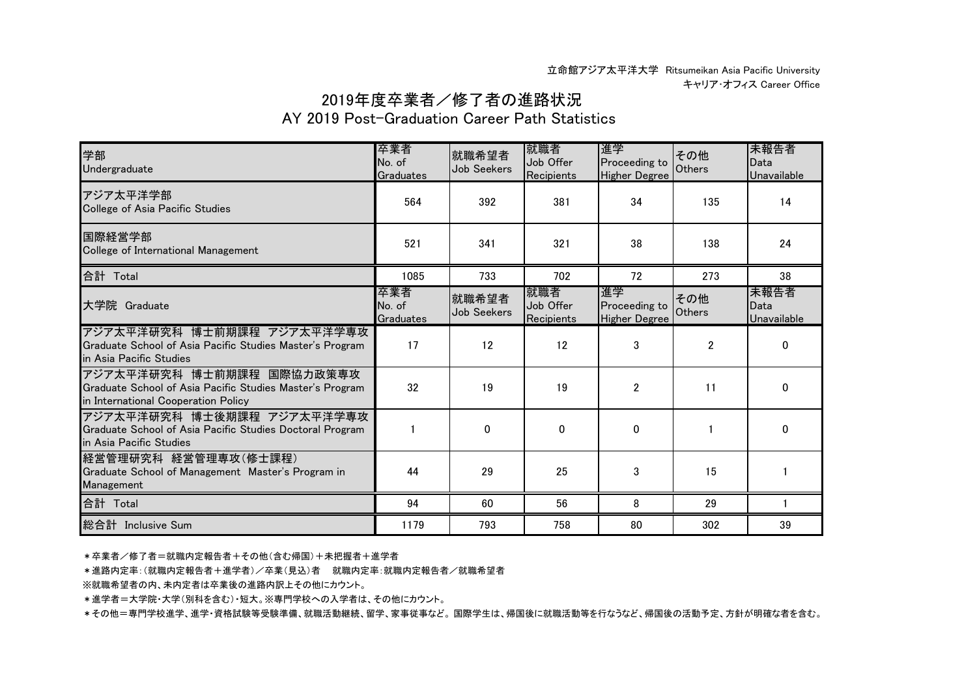## 2019年度卒業者/修了者の進路状況

## AY 2019 Post-Graduation Career Path Statistics

| 学部<br>Undergraduate                                                                                                          | 卒業者<br>No. of<br>Graduates | 就職希望者<br>Job Seekers | 就職者<br>Job Offer<br>Recipients | 進学<br>Proceeding to<br><b>Higher Degree</b> | その他<br><b>Others</b> | 未報告者<br>Data<br>Unavailable |
|------------------------------------------------------------------------------------------------------------------------------|----------------------------|----------------------|--------------------------------|---------------------------------------------|----------------------|-----------------------------|
| アジア太平洋学部<br>College of Asia Pacific Studies                                                                                  | 564                        | 392                  | 381                            | 34                                          | 135                  | 14                          |
| 国際経営学部<br>College of International Management                                                                                | 521                        | 341                  | 321                            | 38                                          | 138                  | 24                          |
| 合計 Total                                                                                                                     | 1085                       | 733                  | 702                            | 72                                          | 273                  | 38                          |
| 大学院 Graduate                                                                                                                 | 卒業者<br>No. of<br>Graduates | 就職希望者<br>Job Seekers | 就職者<br>Job Offer<br>Recipients | 進学<br>Proceeding to<br><b>Higher Degree</b> | その他<br>Others        | 未報告者<br>Data<br>Unavailable |
| アジア太平洋研究科 博士前期課程 アジア太平洋学専攻<br>Graduate School of Asia Pacific Studies Master's Program<br>in Asia Pacific Studies            | 17                         | 12                   | 12                             | 3                                           | $\overline{2}$       | $\Omega$                    |
| アジア太平洋研究科 博士前期課程 国際協力政策専攻<br>Graduate School of Asia Pacific Studies Master's Program<br>in International Cooperation Policy | 32                         | 19                   | 19                             | $\overline{2}$                              | 11                   | $\Omega$                    |
| アジア太平洋研究科 博士後期課程 アジア太平洋学専攻<br>Graduate School of Asia Pacific Studies Doctoral Program<br>in Asia Pacific Studies            |                            | $\Omega$             | $\mathbf{0}$                   | $\Omega$                                    |                      | $\Omega$                    |
| 経営管理研究科 経営管理専攻(修士課程)<br>Graduate School of Management Master's Program in<br>Management                                      | 44                         | 29                   | 25                             | 3                                           | 15                   |                             |
| 合計 Total                                                                                                                     | 94                         | 60                   | 56                             | 8                                           | 29                   |                             |
| 総合計 Inclusive Sum                                                                                                            | 1179                       | 793                  | 758                            | 80                                          | 302                  | 39                          |

\*卒業者/修了者=就職内定報告者+その他(含む帰国)+未把握者+進学者

\*進路内定率:(就職内定報告者+進学者)/卒業(見込)者 就職内定率:就職内定報告者/就職希望者

※就職希望者の内、未内定者は卒業後の進路内訳上その他にカウント。

\*進学者=大学院・大学(別科を含む)・短大。※専門学校への入学者は、その他にカウント。

\*その他=専門学校進学、進学・資格試験等受験準備、就職活動継続、留学、家事従事など。 国際学生は、帰国後に就職活動等を行なうなど、帰国後の活動予定、方針が明確な者を含む。